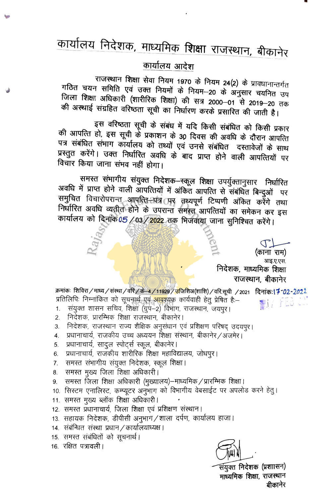## कार्यालय आदेश

राजस्थान शिक्षा सेवा नियम 1970 के नियम 24(2) के प्रावधानान्तर्गत गठित चयन समिति एवं उक्त नियमों के नियम—20 के अनुसार चयनित उप जिला शिक्षा अधिकारी (शारीरिक शिक्षा) की सत्र 2000–01 से 2019–20 तक की अस्थाई संग्रहित वरिष्ठता सूची का निर्धारण करके प्रसारित की जाती है।

इस वरिष्ठता सूची के संबंध में यदि किसी संबंधित को किसी प्रकार की आपत्ति हो, इस सूची के प्रकाशन के 30 दिवस की अवधि के दौरान आपत्ति पत्र संबंधित संभाग कार्यालय को तथ्यों एवं उनसे संबंधित दस्तावेजों के साथ प्रस्तुत करेंगे। उक्त निर्धारित अवधि के बाद प्राप्त होने वाली आपत्तियों पर विचार किया जाना संभव नहीं होगा।

समस्त संभागीय संयुक्त निदेशक-स्कूल शिक्षा उपर्युक्तानुसार निर्धारित अवधि में प्राप्त होने वाली आपत्तियों में अंकित आपत्ति से संबंधित बिन्दुओं पर समुचित विचारोपरान्त आपत्ति धन्न (पुर तथ्यपूर्ण टिप्पणी अंकित करेंगे तथा निर्धारित अवधि व्यतीत होने के उपरान्त समस्त आपत्तियों का समेकन कर इस कार्यालय को दिनांक 05/03/2022 तक भिजवाया जाना सुनिश्चित करेंगे।

> (काना राम) आइ.ए.एस. निदेशक, माध्यमिक शिक्षा राजस्थान, बीकानेर

क्रमांकः शिविरा / माध्य / संस्था / वरि / के<del>ं 4 / 11929</del> / <mark>उजिशि</mark>अ(शाशि) / वरि.सूची / 2021 **दिनांकः l 7-02-**2022 प्रतिलिपिः निम्नांकित को सूचना<u>र्थ एवं <mark>आवश्</mark>यक</u> कार्यवाही हेतु प्रेषित हैः– 優し、上に3

- संयुक्त शासन सचिव, शिक्षा (ग्रुप-2) विभाग, राजस्थान, जयपुर।  $1.$
- निदेशक, प्रारम्भिक शिक्षा राजस्थान, बीकानेर।  $\overline{2}$ .
- निदेशक, राजस्थान राज्य शैक्षिक अनुसंधान एवं प्रशिक्षण परिषद उदयपुर। 3.
- प्रधानाचार्य, राजकीय उच्च अध्ययन शिक्षा संस्थान, बीकानेर/अजमेर।  $\overline{4}$ .
- प्रधानाचार्य, सादुल स्पोर्ट्स स्कूल, बीकानेर।  $5<sub>1</sub>$
- प्रधानाचार्य, राजकीय शारीरिक शिक्षा महाविद्यालय, जोधपुर। 6.
- समस्त संभागीय संयुक्त निदेशक, स्कूल शिक्षा। 7.
- समस्त मुख्य जिला शिक्षा अधिकारी। 8.
- समस्त जिला शिक्षा अधिकारी (मुख्यालय)–माध्यमिक / प्रारम्भिक शिक्षा । 9.
- 10. सिस्टम एनालिस्ट, कम्प्यूटर अनुभाग को विभागीय वेबसाईट पर अपलोड करने हेतु।
- 11. समस्त मुख्य ब्लॉक शिक्षा अधिकारी।
- 12. समरत प्रधानाचार्य, जिला शिक्षा एवं प्रशिक्षण संस्थान।
- 13. सहायक निदेशक, डीपीसी अनुभाग/शाला दर्पण, कार्यालय हाजा।
- 14. संबंन्धित संस्था प्रधान / कार्यालयाध्यक्ष ।
- 15. समस्त संबंधितों को सूचनार्थ।
- 16. रक्षित पत्रावली।



र्सयुक्त निदेशक (प्रशाासन) माध्यमिक शिक्षा, राजस्थान बीकानेर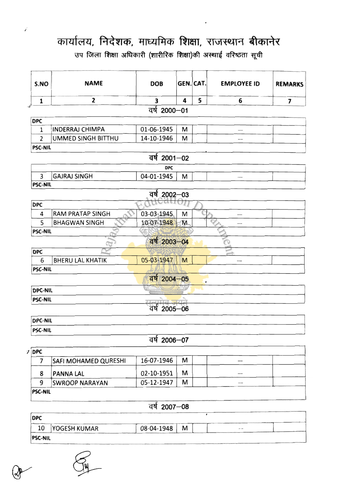.<br>उप जिला शिक्षा अधिकारी (शारीरिक शिक्षा)की अस्थाई वरिष्ठता सूची

V

| S.NO           | <b>NAME</b>                 | <b>DOB</b>   | GEN. CAT. |           | <b>EMPLOYEE ID</b> | <b>REMARKS</b> |
|----------------|-----------------------------|--------------|-----------|-----------|--------------------|----------------|
| 1              | 2                           | 3            | 4         | 5         | 6                  | 7              |
|                |                             | वर्ष 2000-01 |           |           |                    |                |
| <b>DPC</b>     |                             |              |           |           |                    |                |
| 1              | <b>INDERRAJ CHIMPA</b>      | 01-06-1945   | M         |           |                    |                |
| $\overline{2}$ | UMMED SINGH BITTHU          | 14-10-1946   | M         |           |                    |                |
| <b>PSC-NIL</b> |                             |              |           |           |                    |                |
|                |                             | वर्ष 2001-02 |           |           |                    |                |
|                |                             | <b>DPC</b>   |           |           |                    |                |
| 3              | <b>GAJRAJ SINGH</b>         | 04-01-1945   | M         |           |                    |                |
| <b>PSC-NIL</b> |                             |              |           |           |                    |                |
|                |                             | वर्ष 2002-03 |           |           |                    |                |
| <b>DPC</b>     |                             |              |           |           |                    |                |
| 4              | <b>RAM PRATAP SINGH</b>     | 03-03-1945   | M         |           |                    |                |
| 5              | <b>BHAGWAN SINGH</b>        | 10-07-1948   | M         |           |                    |                |
| <b>PSC-NIL</b> |                             |              |           |           |                    |                |
|                |                             | वर्ष 2003-04 |           |           |                    |                |
| <b>DPC</b>     |                             |              |           |           |                    |                |
| 6              | <b>BHERU LAL KHATIK</b>     | 05-03-1947   | M         |           |                    |                |
| <b>PSC-NIL</b> |                             |              |           |           |                    |                |
|                |                             | वर्ष 2004-05 |           | $\bullet$ |                    |                |
| <b>DPC-NIL</b> |                             |              |           |           |                    |                |
| <b>PSC-NIL</b> |                             |              |           |           |                    |                |
|                |                             | वर्ष 2005-06 |           |           |                    |                |
| <b>DPC-NIL</b> |                             |              |           |           |                    |                |
| <b>PSC-NIL</b> |                             |              |           |           |                    |                |
|                |                             | वर्ष 2006-07 |           |           |                    |                |
| $2$ DPC        |                             |              |           |           |                    |                |
| $\overline{7}$ | <b>SAFI MOHAMED QURESHI</b> | 16-07-1946   | M         |           | --                 |                |
| 8              | PANNA LAL                   | 02-10-1951   | M         |           |                    |                |
| 9              | <b>SWROOP NARAYAN</b>       | 05-12-1947   | M         |           |                    |                |
| PSC-NIL        |                             |              |           |           |                    |                |
|                |                             | $\epsilon$   |           |           |                    |                |

#### $qq$  2007-08

| <b>DPC</b>     |              |            |   |  |
|----------------|--------------|------------|---|--|
|                | YOGESH KUMAR | 08-04-1948 | M |  |
| <b>PSC-NIL</b> |              |            |   |  |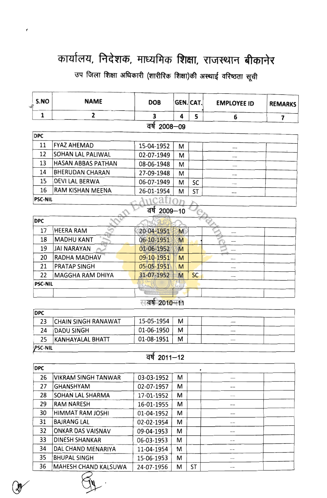उप जिला शिक्षा अधिकारी (शारीरिक शिक्षा)की अस्थाई वरिष्ठता सूची

| S.NO           | <b>NAME</b>               | <b>DOB</b>     | GEN. CAT. |           | <b>EMPLOYEE ID</b> | <b>REMARKS</b>          |
|----------------|---------------------------|----------------|-----------|-----------|--------------------|-------------------------|
| 1              | $\mathbf{2}$              | 3              | 4         | 5         | 6                  | $\overline{\mathbf{z}}$ |
|                |                           | वर्ष 2008-09   |           |           |                    |                         |
| <b>DPC</b>     |                           |                |           |           |                    |                         |
| 11             | <b>FYAZ AHEMAD</b>        | 15-04-1952     | M         |           |                    |                         |
| 12             | SOHAN LAL PALIWAL         | 02-07-1949     | M         |           |                    |                         |
| 13             | <b>HASAN ABBAS PATHAN</b> | 08-06-1948     | М         |           |                    |                         |
| 14             | <b>BHERUDAN CHARAN</b>    | 27-09-1948     | M         |           |                    |                         |
| 15             | <b>DEVI LAL BERWA</b>     | 06-07-1949     | М         | SC        |                    |                         |
| 16             | RAM KISHAN MEENA          | 26-01-1954     | M         | <b>ST</b> |                    |                         |
| <b>PSC-NIL</b> |                           | $\text{trcat}$ |           |           |                    |                         |
|                |                           | वर्ष 2009-10   |           |           |                    |                         |
| <b>DPC</b>     |                           |                |           |           |                    |                         |
| 17             | <b>HEERA RAM</b>          | 20-04-1951     | M         |           |                    |                         |
| 18             | <b>MADHU KANT</b>         | 06-10-1951     | M         |           |                    |                         |
| 19             | <b>JAI NARAYAN</b>        | 01-06-1952     | M         |           |                    |                         |
| 20             | <b>RADHA MADHAV</b>       | 09-10-1951     | M         |           |                    |                         |
| 21             | <b>PRATAP SINGH</b>       | 05-05-1951     | M         |           |                    |                         |
| 22             | MAGGHA RAM DHIYA          | 31-07-1952     | M         | <b>SC</b> |                    |                         |
| <b>PSC-NIL</b> |                           |                |           |           |                    |                         |

## स**त्वर्ष-2010-111**

 $\frac{1}{1}$ 

| <b>DPC</b>     |                     |            |   |  |  |
|----------------|---------------------|------------|---|--|--|
| 23             | CHAIN SINGH RANAWAT | 15-05-1954 | м |  |  |
| 24             | DADU SINGH          | 01-06-1950 | м |  |  |
| 25             | KANHAYALAL BHATT    | 01-08-1951 | м |  |  |
| <b>PSC-NIL</b> |                     |            |   |  |  |

## $\frac{1}{4}$   $\frac{1}{2011-12}$

| <b>DPC</b> |                            |            |   |    |    |
|------------|----------------------------|------------|---|----|----|
| 26         | <b>VIKRAM SINGH TANWAR</b> | 03-03-1952 | M |    |    |
| 27         | <b>GHANSHYAM</b>           | 02-07-1957 | М |    |    |
| 28         | SOHAN LAL SHARMA           | 17-01-1952 | м |    |    |
| 29         | <b>RAM NARESH</b>          | 16-01-1955 | м |    | -- |
| 30         | HIMMAT RAM JOSHI           | 01-04-1952 | M |    |    |
| 31         | <b>BAJRANG LAL</b>         | 02-02-1954 | M |    | -- |
| 32         | <b>ONKAR DAS VAISNAV</b>   | 09-04-1953 | М |    |    |
| 33         | <b>DINESH SHANKAR</b>      | 06-03-1953 | M |    |    |
| 34         | DAL CHAND MENARIYA         | 11-04-1954 | м |    |    |
| 35         | <b>BHUPAL SINGH</b>        | 15-06-1953 | М |    |    |
| 36         | MAHESH CHAND KALSUWA       | 24-07-1956 | М | ST |    |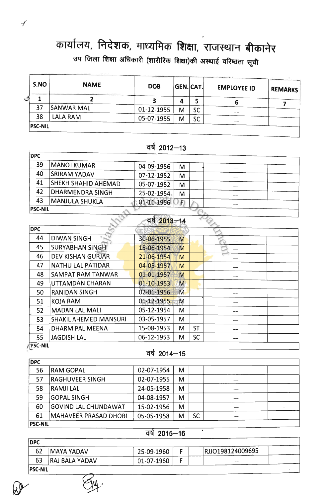.<br>उप जिला शिक्षा अधिकारी (शारीरिक शिक्षा)की अस्थाई वरिष्ठता सूची

|              | S.NO           | <b>NAME</b>       | <b>DOB</b> |   | GEN.CAT.  | <b>EMPLOYEE ID</b> | <b>REMARKS</b> |
|--------------|----------------|-------------------|------------|---|-----------|--------------------|----------------|
| $\checkmark$ |                |                   |            | 4 |           |                    |                |
|              | 37             | <b>SANWAR MAL</b> | 01-12-1955 | М | SC        |                    |                |
|              | 38             | <b>LALA RAM</b>   | 05-07-1955 | M | <b>SC</b> | $- -$<br>--        |                |
|              | <b>PSC-NIL</b> |                   |            |   |           |                    |                |

## $\overline{q}$ र्ष 2012-13

| <b>DPC</b>     |                            |             |   |     |  |
|----------------|----------------------------|-------------|---|-----|--|
| 39             | <b>MANOJ KUMAR</b>         | 04-09-1956  | М |     |  |
| 40             | <b>SRIRAM YADAV</b>        | 07-12-1952  | м |     |  |
| 41             | <b>SHEKH SHAHID AHEMAD</b> | 05-07-1952  | М |     |  |
| 42             | <b>DHARMENDRA SINGH</b>    | 25-02-1954. | М |     |  |
| 43             | <b>MANJULA SHUKLA</b>      | 01-11-1956  | F | --- |  |
| <b>PSC-NIL</b> |                            |             |   |     |  |

| वर्ष 2013–14 |  |  |  |
|--------------|--|--|--|
|--------------|--|--|--|

| <b>DPC</b>     |                              |            |   |           |  |
|----------------|------------------------------|------------|---|-----------|--|
| 44             | <b>DIWAN SINGH</b>           | 30-06-1955 | M |           |  |
| 45             | <b>SURYABHAN SINGH</b>       | 15-06-1954 | M |           |  |
| 46             | <b>DEV KISHAN GURJAR</b>     | 21-06-1954 | M |           |  |
| 47             | <b>NATHU LAL PATIDAR</b>     | 04-05-1957 | M |           |  |
| 48             | SAMPAT RAM TANWAR            | 01-01-1957 | M |           |  |
| 49             | UTTAMDAN CHARAN              | 01-10-1953 | M |           |  |
| 50             | <b>RANIDAN SINGH</b>         | 02-01-1956 | M |           |  |
| 51             | <b>KOJA RAM</b>              | 01-12-1955 | M |           |  |
| 52             | <b>MADAN LAL MALI</b>        | 05-12-1954 | M |           |  |
| 53             | <b>SHAKIL AHEMED MANSURI</b> | 03-05-1957 | M |           |  |
| 54             | DHARM PAL MEENA              | 15-08-1953 | М | <b>ST</b> |  |
| 55             | <b>JAGDISH LAL</b>           | 06-12-1953 | M | SC        |  |
| <b>PSC-NIL</b> |                              |            |   |           |  |

#### $qq$  2014-15

| <b>DPC</b>     |                             |            |   |    |       |  |
|----------------|-----------------------------|------------|---|----|-------|--|
| 56             | <b>RAM GOPAL</b>            | 02-07-1954 | М |    | $- -$ |  |
| 57             | <b>RAGHUVEER SINGH</b>      | 02-07-1955 | M |    | $-$   |  |
| 58             | <b>RAMJILAL</b>             | 24-05-1958 | М |    | ---   |  |
| 59             | <b>GOPAL SINGH</b>          | 04-08-1957 | М |    | --    |  |
| 60             | <b>GOVIND LAL CHUNDAWAT</b> | 15-02-1956 | М |    | --    |  |
| 61             | MAHAVEER PRASAD DHOBI       | 05-05-1958 | М | SC | --    |  |
| <b>PSC-NIL</b> |                             |            |   |    |       |  |

### $\overline{qq}$  2015-16

 $\overline{\phantom{a}}$ 

| <b>DPC</b>     |                       |            |                  |  |
|----------------|-----------------------|------------|------------------|--|
| 62             | <b>MAYA YADAV</b>     | 25-09-1960 | RJJO198124009695 |  |
| 63             | <b>RAJ BALA YADAV</b> | 01-07-1960 |                  |  |
| <b>PSC-NIL</b> |                       |            |                  |  |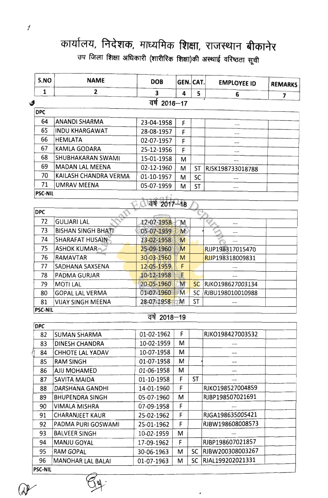# कार्यालय, निदेशक, माध्यमिक शिक्षा, राजस्थान बीकानेर .<br>उप जिला शिक्षा अधिकारी (शारीरिक शिक्षा)की अस्थाई वरिष्ठता सूची

| S.NO           | <b>NAME</b>               | <b>DOB</b>    | GEN. CAT. |           | <b>EMPLOYEE ID</b>  | <b>REMARKS</b> |
|----------------|---------------------------|---------------|-----------|-----------|---------------------|----------------|
| $\mathbf{1}$   | 2                         | 3             | 4         | 5         | 6                   | 7              |
| \$             |                           | वर्ष 2016-17  |           |           |                     |                |
| <b>DPC</b>     |                           |               |           |           |                     |                |
| 64             | <b>ANANDI SHARMA</b>      | 23-04-1958    | F         |           |                     |                |
| 65             | <b>INDU KHARGAWAT</b>     | 28-08-1957    | F         |           |                     |                |
| 66             | <b>HEMLATA</b>            | 02-07-1957    | F         |           |                     |                |
| 67             | <b>KAMLA GODARA</b>       | 25-12-1956    | F         |           |                     |                |
| 68             | SHUBHAKARAN SWAMI         | 15-01-1958    | M         |           |                     |                |
| 69             | <b>MADAN LAL MEENA</b>    | 02-12-1960    | M         | ST        | RJSK198733018788    |                |
| 70             | KAILASH CHANDRA VERMA     | 01-10-1957    | M         | SC        |                     |                |
| 71             | <b>UMRAV MEENA</b>        | 05-07-1959    | M         | ST        |                     |                |
| <b>PSC-NIL</b> |                           |               |           |           |                     |                |
|                |                           | वर्ष 2017-18  |           |           |                     |                |
| <b>DPC</b>     |                           |               |           |           |                     |                |
| 72             | <b>GULJARI LAL</b>        | 12-07-1958    | M         |           |                     |                |
| 73             | <b>BISHAN SINGH BHATI</b> | 05-07-1959    | M         |           |                     |                |
| 74             | <b>SHARAFAT HUSAIN</b>    | 13-02-1958    | M         |           |                     |                |
| 75             | <b>ASHOK KUMAR</b>        | 25-09-1960    | M         |           | RJJP198317015470    |                |
| 76             | <b>RAMAVTAR</b>           | 30-03-1960    | M         |           | RJJP198318009831    |                |
| 77             | SADHANA SAXSENA           | 12-05-1959    | F         |           |                     |                |
| 78             | PADMA GURJAR              | 10-12-1958    | F         |           |                     |                |
| 79             | <b>MOTILAL</b>            | 20-05-1960    | M         | <b>SC</b> | RJKO198627003134    |                |
| 80             | <b>GOPAL LAL VERMA</b>    | 01-07-1960    | M         | SC        | RJBU198010010988    |                |
| 81             | <b>VIJAY SINGH MEENA</b>  | 28-07-1958    | M         | ST        |                     |                |
| <b>PSC-NIL</b> |                           |               |           |           |                     |                |
|                |                           | वर्षे 2018–19 |           |           |                     |                |
| <b>DPC</b>     |                           |               |           |           |                     |                |
| 82             | <b>SUMAN SHARMA</b>       | 01-02-1962    | F         |           | RJKO198427003532    |                |
| 83             | <b>DINESH CHANDRA</b>     | 10-02-1959    | M         |           |                     |                |
| 84             | <b>CHHOTE LAL YADAV</b>   | 10-07-1958    | М         |           |                     |                |
| 85             | <b>RAM SINGH</b>          | 01-07-1958    | м         |           | $-\!$ $\!-$         |                |
| 86             | AJIJ MOHAMED              | 01-06-1958    | М         |           |                     |                |
| 87             | SAVITA MAIDA              | 01-10-1958    | F         | ST        |                     |                |
| 88             | DARSHANA GANDHI           | 14-01-1960    | F         |           | RJKO198527004859    |                |
| 89             | <b>BHUPENDRA SINGH</b>    | 05-07-1960    | M         |           | RJBP198507021691    |                |
| 90             | VIMALA MISHRA             | 07-09-1958    | F         |           |                     |                |
| 91             | <b>CHARANJEET KAUR</b>    | 25-02-1962    | F         |           | RJGA198635005421    |                |
| 92             | PADMA PURI GOSWAMI        | 25-01-1962    | F         |           | RJBW198608008573    |                |
| 93             | <b>BALVEER SINGH</b>      | 10-02-1959    | М         |           |                     |                |
| 94             | MANJU GOYAL               | 17-09-1962    | F         |           | RJBP198607021857    |                |
| 95             | <b>RAM GOPAL</b>          | 30-06-1963    | M         |           | SC RJBW200308003267 |                |
| 96             | <b>MANOHAR LAL BALAI</b>  | 01-07-1963    | М         | SC        | RJAL199202021331    |                |

 $\cdot$ 

 $\overline{1}$ 

 $\overline{\phantom{a}}$